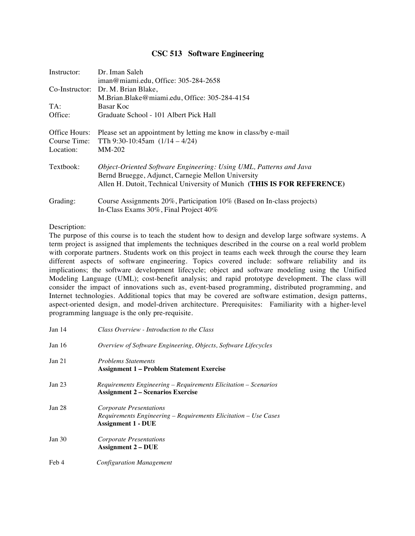## **CSC 513 Software Engineering**

| Instructor:   | Dr. Iman Saleh<br>iman@miami.edu, Office: 305-284-2658                  |
|---------------|-------------------------------------------------------------------------|
|               | Co-Instructor: Dr. M. Brian Blake,                                      |
|               | M.Brian.Blake@miami.edu, Office: 305-284-4154                           |
| TA:           | Basar Koc                                                               |
| Office:       | Graduate School - 101 Albert Pick Hall                                  |
|               |                                                                         |
| Office Hours: | Please set an appointment by letting me know in class/by e-mail         |
| Course Time:  | TTh 9:30-10:45am $(1/14 - 4/24)$                                        |
| Location:     | $MM-202$                                                                |
|               |                                                                         |
| Textbook:     | Object-Oriented Software Engineering: Using UML, Patterns and Java      |
|               | Bernd Bruegge, Adjunct, Carnegie Mellon University                      |
|               | Allen H. Dutoit, Technical University of Munich (THIS IS FOR REFERENCE) |
|               |                                                                         |
| Grading:      | Course Assignments 20%, Participation 10% (Based on In-class projects)  |
|               | In-Class Exams 30%, Final Project 40%                                   |

## Description:

The purpose of this course is to teach the student how to design and develop large software systems. A term project is assigned that implements the techniques described in the course on a real world problem with corporate partners. Students work on this project in teams each week through the course they learn different aspects of software engineering. Topics covered include: software reliability and its implications; the software development lifecycle; object and software modeling using the Unified Modeling Language (UML); cost-benefit analysis; and rapid prototype development. The class will consider the impact of innovations such as, event-based programming, distributed programming, and Internet technologies. Additional topics that may be covered are software estimation, design patterns, aspect-oriented design, and model-driven architecture. Prerequisites: Familiarity with a higher-level programming language is the only pre-requisite.

| Jan <sub>14</sub> | Class Overview - Introduction to the Class                                                                              |
|-------------------|-------------------------------------------------------------------------------------------------------------------------|
| Jan 16            | Overview of Software Engineering, Objects, Software Lifecycles                                                          |
| Jan 21            | <b>Problems Statements</b><br><b>Assignment 1 – Problem Statement Exercise</b>                                          |
| Jan <sub>23</sub> | Requirements Engineering – Requirements Elicitation – Scenarios<br><b>Assignment 2 – Scenarios Exercise</b>             |
| Jan <sub>28</sub> | Corporate Presentations<br>Requirements Engineering – Requirements Elicitation – Use Cases<br><b>Assignment 1 - DUE</b> |
| Jan $30$          | Corporate Presentations<br><b>Assignment 2 – DUE</b>                                                                    |
| Feb 4             | <b>Configuration Management</b>                                                                                         |